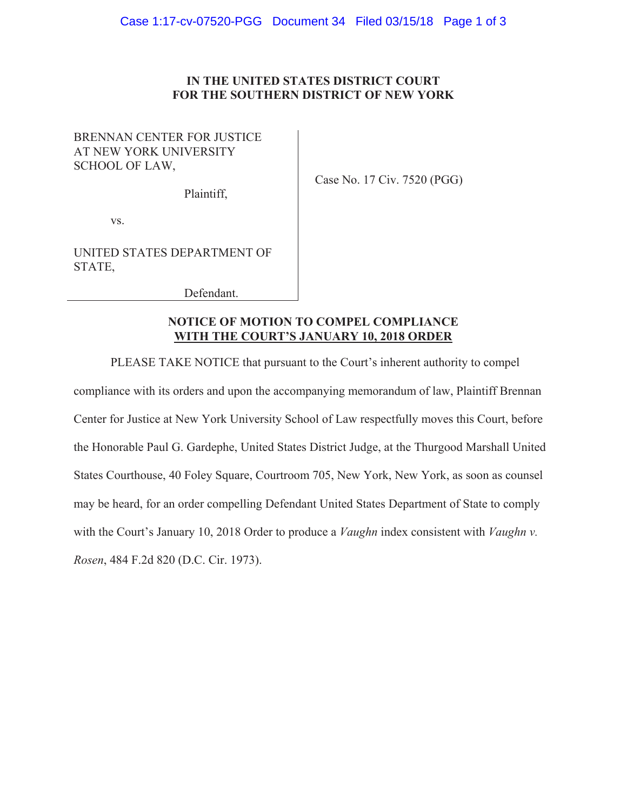## IN THE UNITED STATES DISTRICT COURT FOR THE SOUTHERN DISTRICT OF NEW YORK

# BRENNAN CENTER FOR JUSTICE AT NEW YORK UNIVERSITY SCHOOL OF LAW,

Plaintiff,

Case No. 17 Civ. 7520 (PGG)

VS.

UNITED STATES DEPARTMENT OF STATE,

Defendant.

## **NOTICE OF MOTION TO COMPEL COMPLIANCE WITH THE COURT'S JANUARY 10, 2018 ORDER**

PLEASE TAKE NOTICE that pursuant to the Court's inherent authority to compel

compliance with its orders and upon the accompanying memorandum of law, Plaintiff Brennan Center for Justice at New York University School of Law respectfully moves this Court, before the Honorable Paul G. Gardephe, United States District Judge, at the Thurgood Marshall United States Courthouse, 40 Foley Square, Courtroom 705, New York, New York, as soon as counsel may be heard, for an order compelling Defendant United States Department of State to comply with the Court's January 10, 2018 Order to produce a *Vaughn* index consistent with *Vaughn v*. Rosen, 484 F.2d 820 (D.C. Cir. 1973).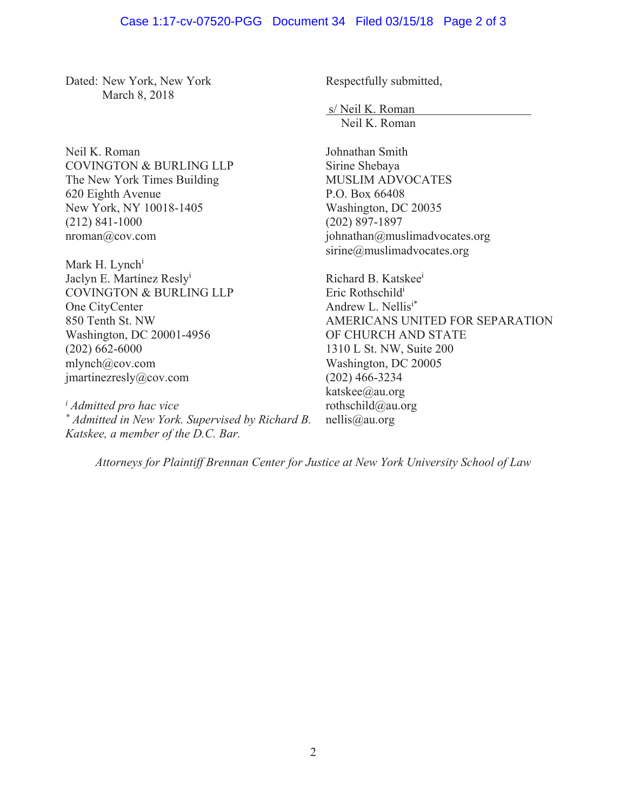### Case 1:17-cv-07520-PGG Document 34 Filed 03/15/18 Page 2 of 3

Dated: New York, New York March 8, 2018

Neil K. Roman COVINGTON & BURLING LLP The New York Times Building 620 Eighth Avenue New York, NY 10018-1405  $(212)$  841-1000  $n$ roman $@$ cov.com

Mark H. Lynch<sup>i</sup> Jaclyn E. Martínez Resly<sup>i</sup> COVINGTON & BURLING LLP One CityCenter 850 Tenth St. NW Washington, DC 20001-4956  $(202)$  662-6000  $mlynch@cov.com$ imartinezresly@cov.com

*i Admitted pro hac vice \* Admitted in New York. Supervised by Richard B. Katskee, a member of the D.C. Bar.* 

Respectfully submitted,

s/Neil K. Roman Neil K. Roman

Johnathan Smith Sirine Shebaya MUSLIM ADVOCATES P.O. Box 66408 Washington, DC 20035  $(202)$  897-1897 johnathan@muslimadvocates.org  $sirine@muslimadvocates.org$ 

Richard B. Katskee<sup>i</sup> Eric Rothschild<sup>i</sup> Andrew L. Nellis<sup>i\*</sup> AMERICANS UNITED FOR SEPARATION OF CHURCH AND STATE 1310 L St. NW, Suite 200 Washington, DC 20005  $(202)$  466-3234 katskee@au.org rothschild@au.org  $n$ ellis@au.org

*Attorneys for Plaintiff Brennan Center for Justice at New York University School of Law*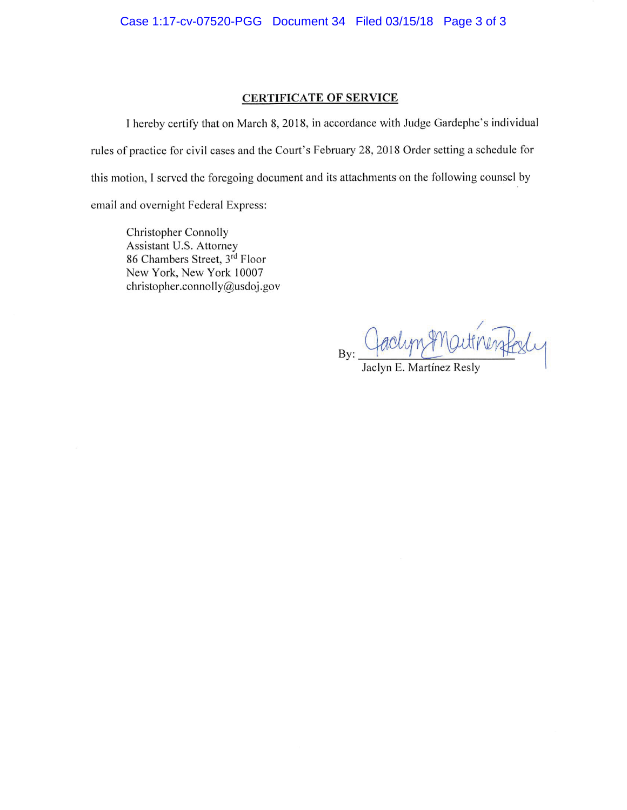#### **CERTIFICATE OF SERVICE**

I hereby certify that on March 8, 2018, in accordance with Judge Gardephe's individual rules of practice for civil cases and the Court's February 28, 2018 Order setting a schedule for this motion, I served the foregoing document and its attachments on the following counsel by email and overnight Federal Express:

Christopher Connolly Assistant U.S. Attorney 86 Chambers Street, 3rd Floor New York, New York 10007 christopher.connolly@usdoj.gov

By:

Jaclyn E. Martínez Resly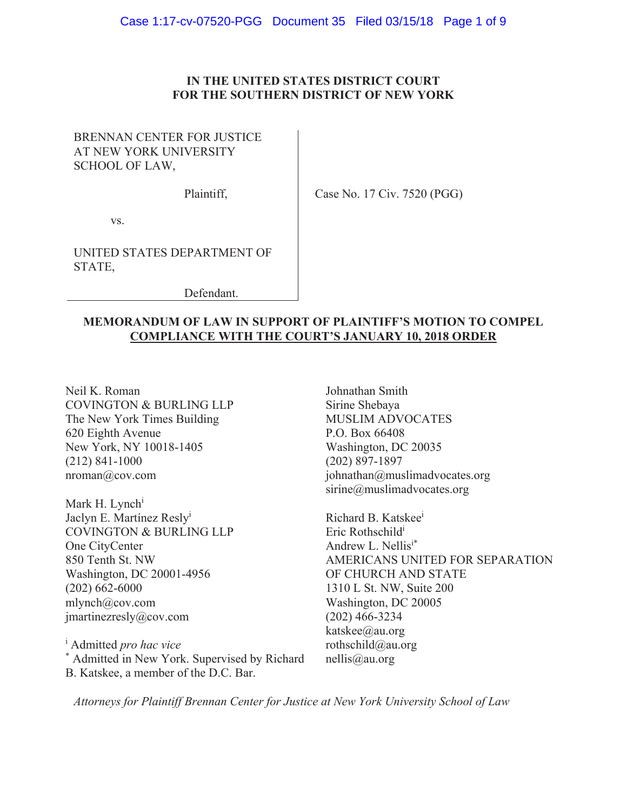## IN THE UNITED STATES DISTRICT COURT FOR THE SOUTHERN DISTRICT OF NEW YORK

# BRENNAN CENTER FOR JUSTICE AT NEW YORK UNIVERSITY SCHOOL OF LAW,

Plaintiff.

Case No. 17 Civ. 7520 (PGG)

VS.

UNITED STATES DEPARTMENT OF STATE.

Defendant.

# **MEMORANDUM OF LAW IN SUPPORT OF PLAINTIFF'S MOTION TO COMPEL COMPLIANCE WITH THE COURT'S JANUARY 10, 2018 ORDER**

Neil K. Roman **COVINGTON & BURLING LLP** The New York Times Building 620 Eighth Avenue New York, NY 10018-1405  $(212)$  841-1000  $nroman@cov.com$ 

Mark H. Lynch<sup>i</sup> Jaclyn E. Martínez Resly<sup>i</sup> COVINGTON & BURLING LLP One CityCenter 850 Tenth St. NW Washington, DC 20001-4956  $(202)$  662-6000  $mlynch@cov.com$ jmartinezresly@cov.com

<sup>i</sup> Admitted pro hac vice \* Admitted in New York. Supervised by Richard B. Katskee, a member of the D.C. Bar.

Johnathan Smith Sirine Shebaya **MUSLIM ADVOCATES** P.O. Box 66408 Washington, DC 20035  $(202)$  897-1897 johnathan@muslimadvocates.org  $sirine@muslimadvocates.org$ 

Richard B. Katskee<sup>i</sup> Eric Rothschild<sup>1</sup> Andrew L. Nellisi\* AMERICANS UNITED FOR SEPARATION OF CHURCH AND STATE 1310 L St. NW, Suite 200 Washington, DC 20005  $(202)$  466-3234 katskee@au.org rothschild@au.org  $nellis@au.org$ 

Attorneys for Plaintiff Brennan Center for Justice at New York University School of Law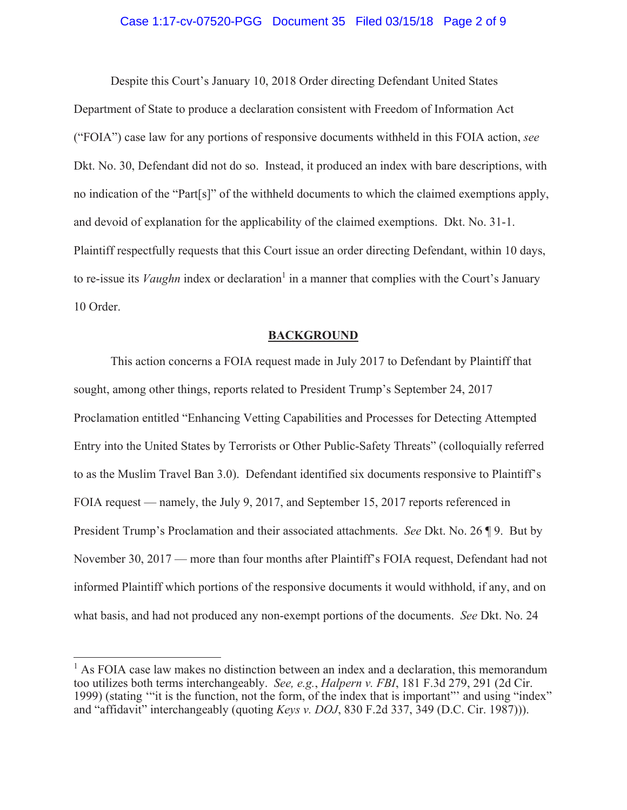#### Case 1:17-cv-07520-PGG Document 35 Filed 03/15/18 Page 2 of 9

Despite this Court's January 10, 2018 Order directing Defendant United States Department of State to produce a declaration consistent with Freedom of Information Act ("FOIA") case law for any portions of responsive documents withheld in this FOIA action, see Dkt. No. 30, Defendant did not do so. Instead, it produced an index with bare descriptions, with no indication of the "Part[s]" of the withheld documents to which the claimed exemptions apply, and devoid of explanation for the applicability of the claimed exemptions. Dkt. No. 31-1. Plaintiff respectfully requests that this Court issue an order directing Defendant, within 10 days, to re-issue its *Vaughn* index or declaration<sup>1</sup> in a manner that complies with the Court's January 10 Order.

#### **BACKGROUND**

This action concerns a FOIA request made in July 2017 to Defendant by Plaintiff that sought, among other things, reports related to President Trump's September 24, 2017 Proclamation entitled "Enhancing Vetting Capabilities and Processes for Detecting Attempted Entry into the United States by Terrorists or Other Public-Safety Threats" (colloquially referred to as the Muslim Travel Ban 3.0). Defendant identified six documents responsive to Plaintiff's FOIA request — namely, the July 9, 2017, and September 15, 2017 reports referenced in President Trump's Proclamation and their associated attachments. See Dkt. No. 26 ¶ 9. But by November 30, 2017 — more than four months after Plaintiff's FOIA request, Defendant had not informed Plaintiff which portions of the responsive documents it would withhold, if any, and on what basis, and had not produced any non-exempt portions of the documents. See Dkt. No. 24

 $<sup>1</sup>$  As FOIA case law makes no distinction between an index and a declaration, this memorandum</sup> too utilizes both terms interchangeably. See, e.g., Halpern v. FBI, 181 F.3d 279, 291 (2d Cir. 1999) (stating "it is the function, not the form, of the index that is important" and using "index" and "affidavit" interchangeably (quoting Keys v. DOJ, 830 F.2d 337, 349 (D.C. Cir. 1987))).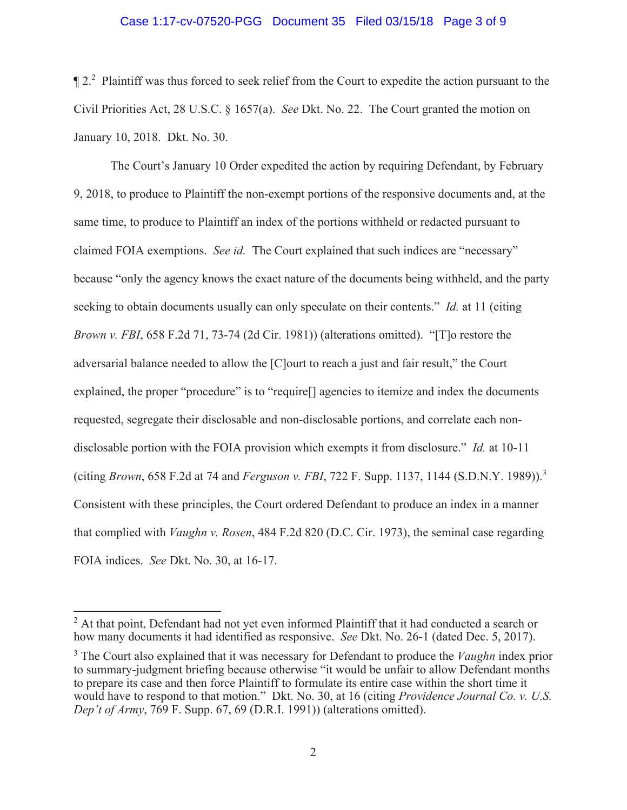#### Case 1:17-cv-07520-PGG Document 35 Filed 03/15/18 Page 3 of 9

 $\P$  2.<sup>2</sup> Plaintiff was thus forced to seek relief from the Court to expedite the action pursuant to the Civil Priorities Act, 28 U.S.C. § 1657(a). See Dkt. No. 22. The Court granted the motion on January 10, 2018. Dkt. No. 30.

The Court's January 10 Order expedited the action by requiring Defendant, by February 9, 2018, to produce to Plaintiff the non-exempt portions of the responsive documents and, at the same time, to produce to Plaintiff an index of the portions withheld or redacted pursuant to claimed FOIA exemptions. See id. The Court explained that such indices are "necessary" because "only the agency knows the exact nature of the documents being withheld, and the party seeking to obtain documents usually can only speculate on their contents." Id. at 11 (citing *Brown v. FBI*, 658 F.2d 71, 73-74 (2d Cir. 1981)) (alterations omitted). "[T] or restore the adversarial balance needed to allow the [C] ourt to reach a just and fair result," the Court explained, the proper "procedure" is to "require | agencies to itemize and index the documents requested, segregate their disclosable and non-disclosable portions, and correlate each nondisclosable portion with the FOIA provision which exempts it from disclosure." *Id.* at 10-11 (citing Brown, 658 F.2d at 74 and Ferguson v. FBI, 722 F. Supp. 1137, 1144 (S.D.N.Y. 1989)).<sup>3</sup> Consistent with these principles, the Court ordered Defendant to produce an index in a manner that complied with *Vaughn v. Rosen*, 484 F.2d 820 (D.C. Cir. 1973), the seminal case regarding FOIA indices. See Dkt. No. 30, at 16-17.

<sup>&</sup>lt;sup>2</sup> At that point, Defendant had not yet even informed Plaintiff that it had conducted a search or how many documents it had identified as responsive. See Dkt. No. 26-1 (dated Dec. 5, 2017).

 $3$  The Court also explained that it was necessary for Defendant to produce the *Vaughn* index prior to summary-judgment briefing because otherwise "it would be unfair to allow Defendant months to prepare its case and then force Plaintiff to formulate its entire case within the short time it would have to respond to that motion." Dkt. No. 30, at 16 (citing Providence Journal Co. v. U.S. Dep't of Army, 769 F. Supp. 67, 69 (D.R.I. 1991)) (alterations omitted).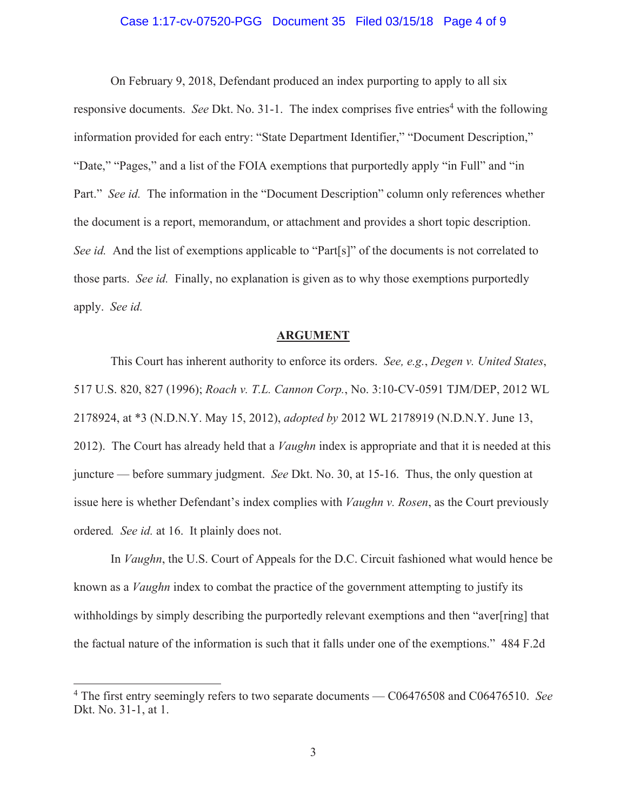#### Case 1:17-cv-07520-PGG Document 35 Filed 03/15/18 Page 4 of 9

On February 9, 2018, Defendant produced an index purporting to apply to all six responsive documents. See Dkt. No. 31-1. The index comprises five entries<sup>4</sup> with the following information provided for each entry: "State Department Identifier," "Document Description," "Date," "Pages," and a list of the FOIA exemptions that purportedly apply "in Full" and "in Part." See id. The information in the "Document Description" column only references whether the document is a report, memorandum, or attachment and provides a short topic description. See id. And the list of exemptions applicable to "Part[s]" of the documents is not correlated to those parts. See id. Finally, no explanation is given as to why those exemptions purportedly apply. See id.

#### **ARGUMENT**

This Court has inherent authority to enforce its orders. See, e.g., Degen v. United States, 517 U.S. 820, 827 (1996); Roach v. T.L. Cannon Corp., No. 3:10-CV-0591 TJM/DEP, 2012 WL 2178924, at \*3 (N.D.N.Y. May 15, 2012), *adopted by* 2012 WL 2178919 (N.D.N.Y. June 13, 2012). The Court has already held that a *Vaughn* index is appropriate and that it is needed at this juncture — before summary judgment. See Dkt. No. 30, at 15-16. Thus, the only question at issue here is whether Defendant's index complies with *Vaughn v. Rosen*, as the Court previously ordered. See id. at 16. It plainly does not.

In *Vaughn*, the U.S. Court of Appeals for the D.C. Circuit fashioned what would hence be known as a *Vaughn* index to combat the practice of the government attempting to justify its withholdings by simply describing the purportedly relevant exemptions and then "aver[ring] that the factual nature of the information is such that it falls under one of the exemptions." 484 F.2d

 $4$  The first entry seemingly refers to two separate documents  $-$  C06476508 and C06476510. See Dkt. No. 31-1, at 1.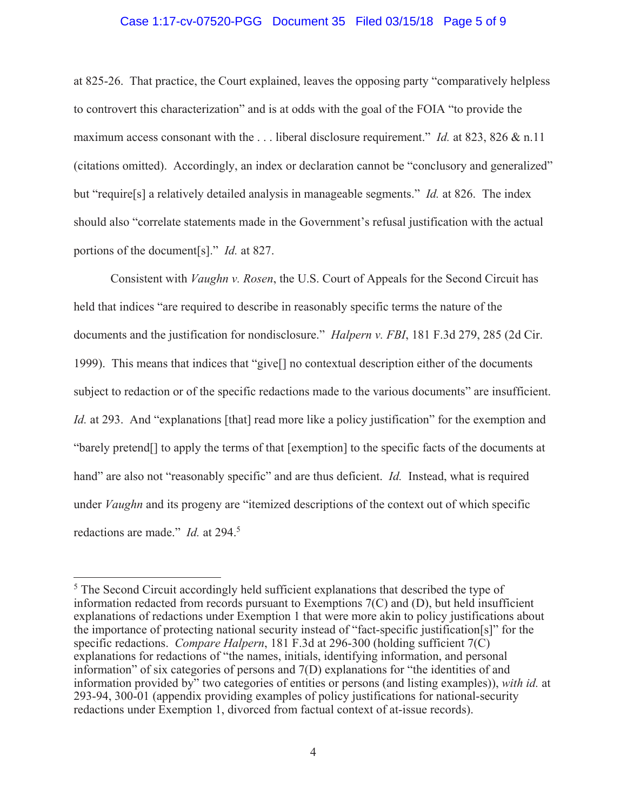#### Case 1:17-cv-07520-PGG Document 35 Filed 03/15/18 Page 5 of 9

at 825-26. That practice, the Court explained, leaves the opposing party "comparatively helpless" to controvert this characterization" and is at odds with the goal of the FOIA "to provide the maximum access consonant with the ... liberal disclosure requirement." *Id.* at 823, 826  $\&$  n.11 (citations omitted). Accordingly, an index or declaration cannot be "conclusory and generalized" but "require[s] a relatively detailed analysis in manageable segments." *Id.* at 826. The index should also "correlate statements made in the Government's refusal justification with the actual portions of the document [s]." *Id.* at 827.

Consistent with *Vaughn v. Rosen*, the U.S. Court of Appeals for the Second Circuit has held that indices "are required to describe in reasonably specific terms the nature of the documents and the justification for nondisclosure." Halpern v. FBI, 181 F.3d 279, 285 (2d Cir. 1999). This means that indices that "give<sup>[]</sup> no contextual description either of the documents subject to redaction or of the specific redactions made to the various documents" are insufficient. *Id.* at 293. And "explanations [that] read more like a policy justification" for the exemption and "barely pretend<sup>[]</sup> to apply the terms of that [exemption] to the specific facts of the documents at hand" are also not "reasonably specific" and are thus deficient. *Id.* Instead, what is required under *Vaughn* and its progeny are "itemized descriptions of the context out of which specific redactions are made." *Id.* at 294.<sup>5</sup>

<sup>&</sup>lt;sup>5</sup> The Second Circuit accordingly held sufficient explanations that described the type of information redacted from records pursuant to Exemptions  $7(C)$  and  $(D)$ , but held insufficient explanations of redactions under Exemption 1 that were more akin to policy justifications about the importance of protecting national security instead of "fact-specific justification[s]" for the specific redactions. Compare Halpern, 181 F.3d at 296-300 (holding sufficient 7(C) explanations for redactions of "the names, initials, identifying information, and personal information" of six categories of persons and 7(D) explanations for "the identities of and information provided by" two categories of entities or persons (and listing examples)), with id. at 293-94, 300-01 (appendix providing examples of policy justifications for national-security redactions under Exemption 1, divorced from factual context of at-issue records).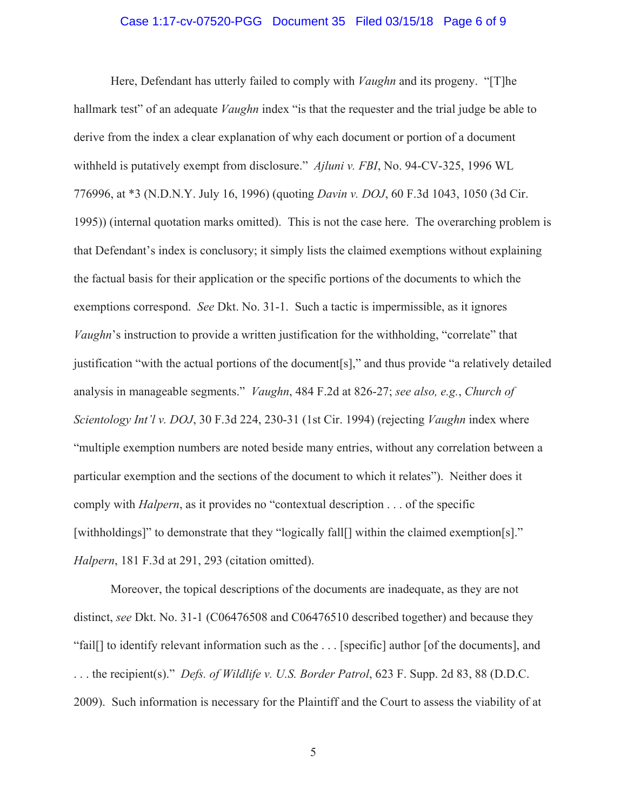#### Case 1:17-cv-07520-PGG Document 35 Filed 03/15/18 Page 6 of 9

Here, Defendant has utterly failed to comply with *Vaughn* and its progeny. "[T]he hallmark test" of an adequate *Vaughn* index "is that the requester and the trial judge be able to derive from the index a clear explanation of why each document or portion of a document withheld is putatively exempt from disclosure." Ajluni v. FBI, No. 94-CV-325, 1996 WL 776996, at \*3 (N.D.N.Y. July 16, 1996) (quoting *Davin v. DOJ*, 60 F.3d 1043, 1050 (3d Cir. 1995)) (internal quotation marks omitted). This is not the case here. The overarching problem is that Defendant's index is conclusory; it simply lists the claimed exemptions without explaining the factual basis for their application or the specific portions of the documents to which the exemptions correspond. See Dkt. No. 31-1. Such a tactic is impermissible, as it ignores *Vaughn's* instruction to provide a written justification for the withholding, "correlate" that justification "with the actual portions of the document[s]," and thus provide "a relatively detailed analysis in manageable segments." *Vaughn*, 484 F.2d at 826-27; see also, e.g., Church of Scientology Int'l v. DOJ, 30 F.3d 224, 230-31 (1st Cir. 1994) (rejecting Vaughn index where "multiple exemption numbers are noted beside many entries, without any correlation between a particular exemption and the sections of the document to which it relates"). Neither does it comply with *Halpern*, as it provides no "contextual description . . . of the specific [withholdings]" to demonstrate that they "logically fall[] within the claimed exemption[s]." Halpern, 181 F.3d at 291, 293 (citation omitted).

Moreover, the topical descriptions of the documents are inadequate, as they are not distinct, see Dkt. No. 31-1 (C06476508 and C06476510 described together) and because they "fail[] to identify relevant information such as the ... [specific] author [of the documents], and ... the recipient(s)." *Defs. of Wildlife v. U.S. Border Patrol*, 623 F. Supp. 2d 83, 88 (D.D.C. 2009). Such information is necessary for the Plaintiff and the Court to assess the viability of at

 $\mathfrak{S}$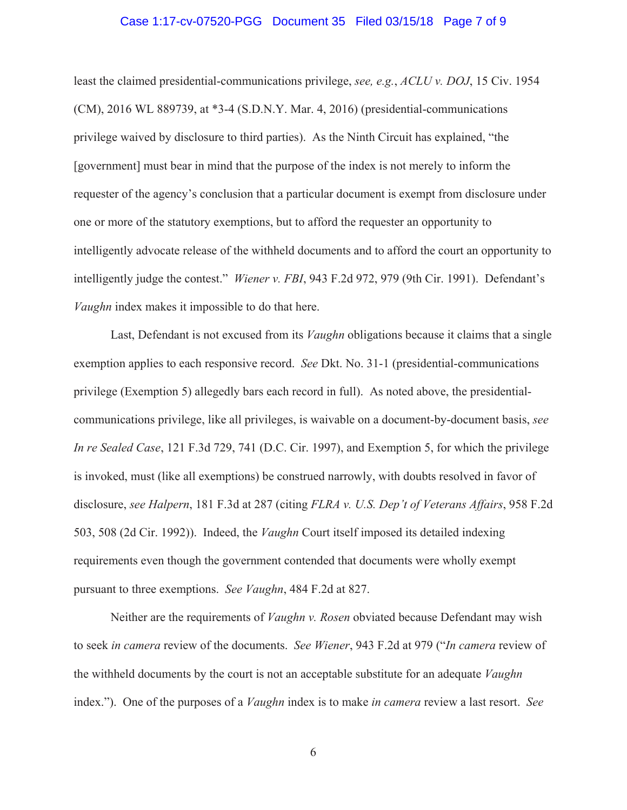#### Case 1:17-cv-07520-PGG Document 35 Filed 03/15/18 Page 7 of 9

least the claimed presidential-communications privilege, see, e.g., ACLU v. DOJ, 15 Civ. 1954 (CM), 2016 WL 889739, at \*3-4 (S.D.N.Y. Mar. 4, 2016) (presidential-communications privilege waived by disclosure to third parties). As the Ninth Circuit has explained, "the [government] must bear in mind that the purpose of the index is not merely to inform the requester of the agency's conclusion that a particular document is exempt from disclosure under one or more of the statutory exemptions, but to afford the requester an opportunity to intelligently advocate release of the withheld documents and to afford the court an opportunity to intelligently judge the contest." Wiener v. FBI, 943 F.2d 972, 979 (9th Cir. 1991). Defendant's Vaughn index makes it impossible to do that here.

Last, Defendant is not excused from its *Vaughn* obligations because it claims that a single exemption applies to each responsive record. See Dkt. No. 31-1 (presidential-communications privilege (Exemption 5) allegedly bars each record in full). As noted above, the presidentialcommunications privilege, like all privileges, is waivable on a document-by-document basis, see In re Sealed Case, 121 F.3d 729, 741 (D.C. Cir. 1997), and Exemption 5, for which the privilege is invoked, must (like all exemptions) be construed narrowly, with doubts resolved in favor of disclosure, see Halpern, 181 F.3d at 287 (citing FLRA v. U.S. Dep't of Veterans Affairs, 958 F.2d 503, 508 (2d Cir. 1992)). Indeed, the *Vaughn* Court itself imposed its detailed indexing requirements even though the government contended that documents were wholly exempt pursuant to three exemptions. See Vaughn, 484 F.2d at 827.

Neither are the requirements of *Vaughn v. Rosen* obviated because Defendant may wish to seek in camera review of the documents. See Wiener, 943 F.2d at 979 ("In camera review of the withheld documents by the court is not an acceptable substitute for an adequate Vaughn index."). One of the purposes of a *Vaughn* index is to make *in camera* review a last resort. See

6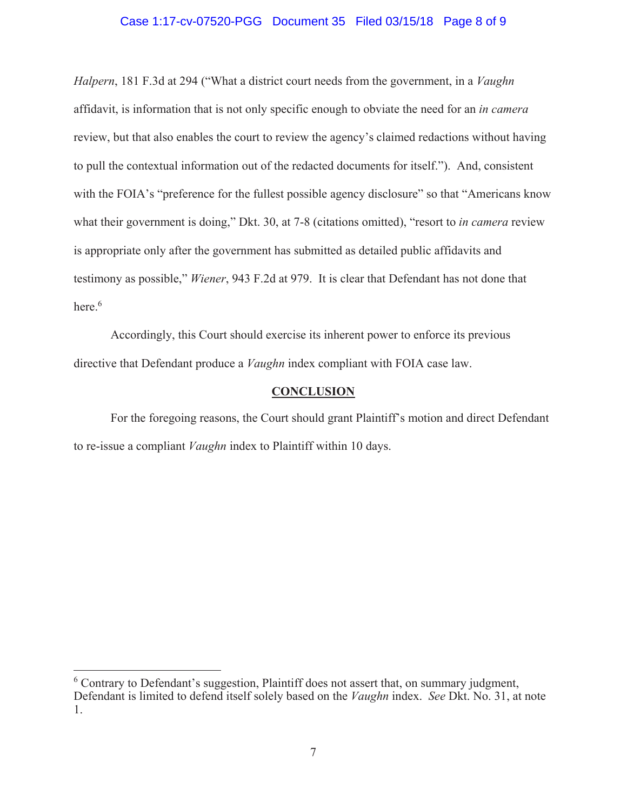#### Case 1:17-cv-07520-PGG Document 35 Filed 03/15/18 Page 8 of 9

Halpern, 181 F.3d at 294 ("What a district court needs from the government, in a Vaughn affidavit, is information that is not only specific enough to obviate the need for an in camera review, but that also enables the court to review the agency's claimed redactions without having to pull the contextual information out of the redacted documents for itself."). And, consistent with the FOIA's "preference for the fullest possible agency disclosure" so that "Americans know what their government is doing," Dkt. 30, at 7-8 (citations omitted), "resort to *in camera* review is appropriate only after the government has submitted as detailed public affidavits and testimony as possible," Wiener, 943 F.2d at 979. It is clear that Defendant has not done that  $here.<sup>6</sup>$ 

Accordingly, this Court should exercise its inherent power to enforce its previous directive that Defendant produce a *Vaughn* index compliant with FOIA case law.

#### **CONCLUSION**

For the foregoing reasons, the Court should grant Plaintiff's motion and direct Defendant to re-issue a compliant *Vaughn* index to Plaintiff within 10 days.

<sup>&</sup>lt;sup>6</sup> Contrary to Defendant's suggestion, Plaintiff does not assert that, on summary judgment, Defendant is limited to defend itself solely based on the *Vaughn* index. See Dkt. No. 31, at note 1.